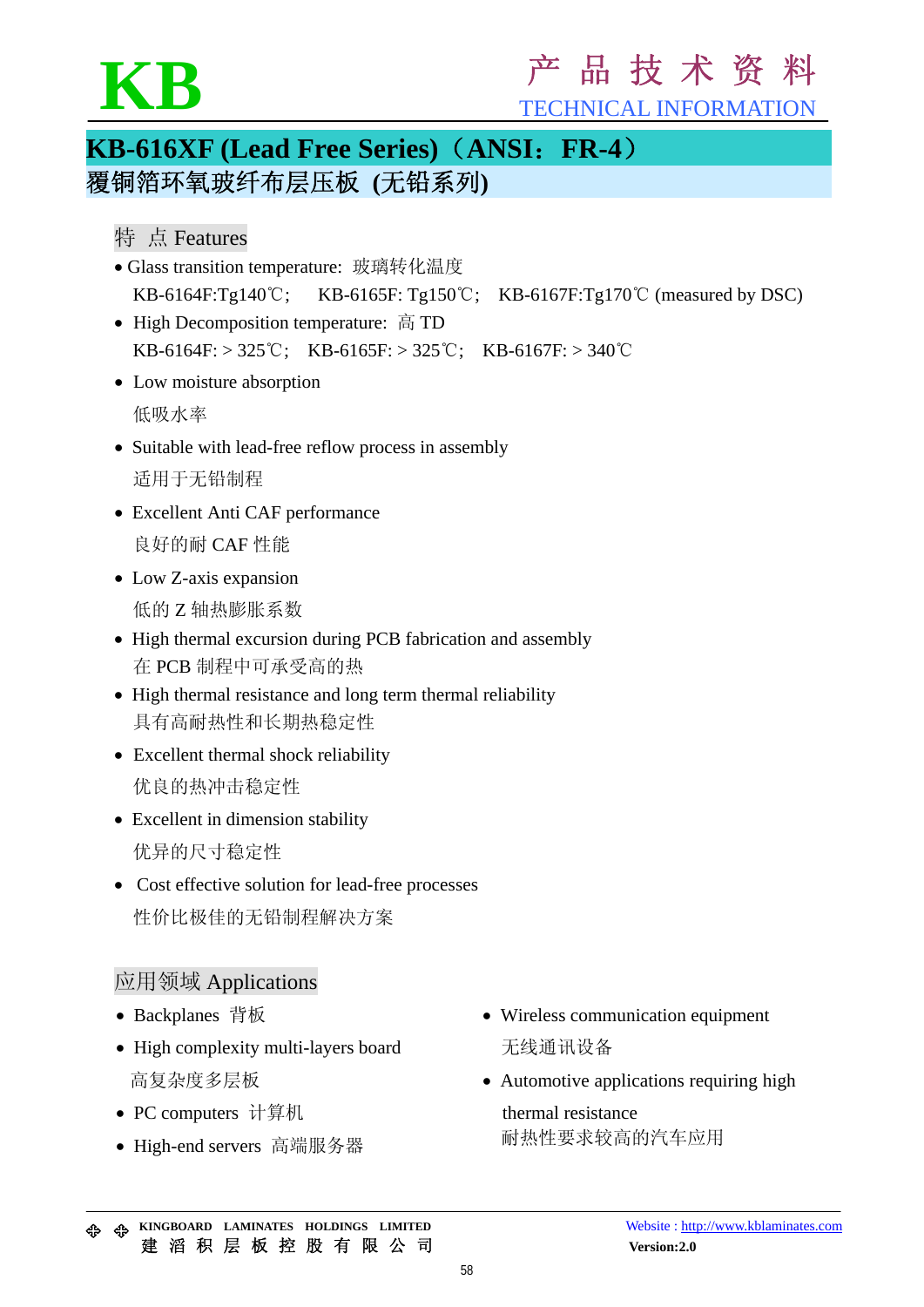# KB FECHNICAL INFORMATION

TECHNICAL INFORMATION

### **KB-616XF (Lead Free Series)**(**ANSI**:**FR-4**) 覆铜箔环氧玻纤布层压板 **(**无铅系列**)**

#### 特 点 Features

- Glass transition temperature: 玻璃转化温度 KB-6164F:Tg140℃; KB-6165F: Tg150℃; KB-6167F:Tg170℃ (measured by DSC)
- High Decomposition temperature: 高 TD KB-6164F: > 325°C; KB-6165F: > 325°C; KB-6167F: > 340°C
- Low moisture absorption 低吸水率
- Suitable with lead-free reflow process in assembly 适用于无铅制程
- Excellent Anti CAF performance 良好的耐 CAF 性能
- Low Z-axis expansion 低的 Z 轴热膨胀系数
- High thermal excursion during PCB fabrication and assembly 在 PCB 制程中可承受高的热
- High thermal resistance and long term thermal reliability 具有高耐热性和长期热稳定性
- Excellent thermal shock reliability 优良的热冲击稳定性
- Excellent in dimension stability 优异的尺寸稳定性
- Cost effective solution for lead-free processes 性价比极佳的无铅制程解决方案

#### 应用领域 Applications

- Backplanes 背板
- High complexity multi-layers board 高复杂度多层板
- PC computers 计算机
- High-end servers 高端服务器
- Wireless communication equipment 无线通讯设备
- Automotive applications requiring high thermal resistance

耐热性要求较高的汽车应用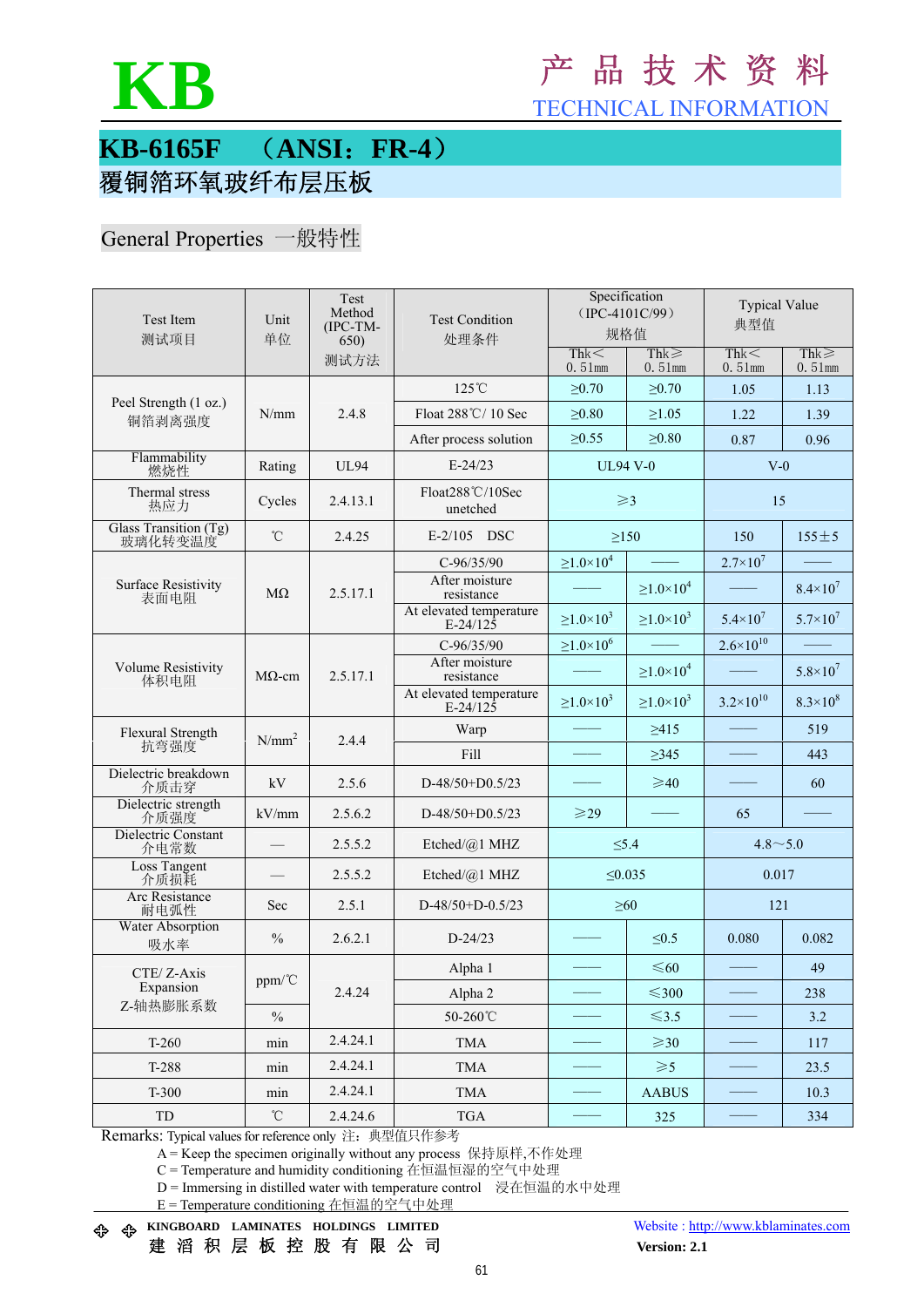

### **KB** <sup>产</sup> <sup>品</sup> <sup>技</sup> <sup>术</sup> <sup>资</sup> <sup>料</sup>

TECHNICAL INFORMATION

#### **KB-6165F** (**ANSI**:**FR-4**) 覆铜箔环氧玻纤布层压板

#### General Properties 一般特性

| <b>Test Item</b><br>测试项目            | Unit<br>单位        | Test<br>Method<br>(IPC-TM-<br>650) | <b>Test Condition</b><br>处理条件         | Specification<br>$(IPC-4101C/99)$<br>规格值 |                        | <b>Typical Value</b><br>典型值 |                         |
|-------------------------------------|-------------------|------------------------------------|---------------------------------------|------------------------------------------|------------------------|-----------------------------|-------------------------|
|                                     |                   | 测试方法                               |                                       | Thk<<br>$0.51$ mm                        | $Thk \geq$<br>0.51mm   | Thk<<br>$0.51$ mm           | $Thk \geq$<br>$0.51$ mm |
|                                     |                   |                                    | $125^{\circ}$ C                       | >0.70                                    | $\geq 0.70$            | 1.05                        | 1.13                    |
| Peel Strength (1 oz.)<br>铜箔剥离强度     | N/mm              | 2.4.8                              | Float 288°C/10 Sec                    | $\geq 0.80$                              | $\geq$ 1.05            | 1.22                        | 1.39                    |
|                                     |                   |                                    | After process solution                | $\geq 0.55$                              | $\geq 0.80$            | 0.87                        | 0.96                    |
| Flammability<br>燃烧性                 | Rating            | <b>UL94</b>                        | $E-24/23$                             | <b>UL94 V-0</b>                          |                        | $V-0$                       |                         |
| Thermal stress<br>热应力               | Cycles            | 2.4.13.1                           | Float288°C/10Sec<br>unetched          | $\geqslant$ 3                            |                        | 15                          |                         |
| Glass Transition (Tg)<br>玻璃化转变温度    | $^\circ\!{\rm C}$ | 2.4.25                             | $E-2/105$<br><b>DSC</b>               | $\geq$ 150                               |                        | 150                         | $155 \pm 5$             |
|                                     |                   | 2.5.17.1                           | $C-96/35/90$                          | $\geq$ 1.0 $\times$ 10 <sup>4</sup>      |                        | $2.7 \times 10^{7}$         |                         |
| <b>Surface Resistivity</b><br>表面电阻  | $M\Omega$         |                                    | After moisture<br>resistance          |                                          | $\geq 1.0 \times 10^4$ |                             | $8.4 \times 10^{7}$     |
|                                     |                   |                                    | At elevated temperature<br>$E-24/125$ | $\geq 1.0 \times 10^3$                   | $\geq 1.0 \times 10^3$ | $5.4 \times 10^7$           | $5.7 \times 10^7$       |
|                                     | $M\Omega$ -cm     | 2.5.17.1                           | $C-96/35/90$                          | $\geq 1.0 \times 10^6$                   |                        | $2.6 \times 10^{10}$        |                         |
| <b>Volume Resistivity</b><br>体积电阻   |                   |                                    | After moisture<br>resistance          |                                          | $\geq 1.0 \times 10^4$ |                             | $5.8 \times 10^7$       |
|                                     |                   |                                    | At elevated temperature<br>$E-24/125$ | $\geq 1.0 \times 10^3$                   | $\geq 1.0 \times 10^3$ | $3.2 \times 10^{10}$        | $8.3 \times 10^{8}$     |
| Flexural Strength<br>抗弯强度           | $N/mm^2$          | 2.4.4                              | Warp                                  |                                          | >415                   |                             | 519                     |
|                                     |                   |                                    | Fill                                  |                                          | $\geq$ 345             |                             | 443                     |
| Dielectric breakdown<br>介质击穿        | kV                | 2.5.6                              | D-48/50+D0.5/23                       |                                          | $\geq 40$              |                             | 60                      |
| Dielectric strength<br>介质强度         | kV/mm             | 2.5.6.2                            | $D-48/50+D0.5/23$                     | $\geqslant$ 29                           |                        | 65                          |                         |
| Dielectric Constant<br>介电常数         |                   | 2.5.5.2                            | Etched/@1 MHZ                         | $\leq 5.4$                               |                        | $4.8 \sim 5.0$              |                         |
| <b>Loss Tangent</b><br>介质损耗         |                   | 2.5.5.2                            | Etched/ $(a)$ 1 MHZ                   | $\leq 0.035$                             |                        | 0.017                       |                         |
| <b>Arc</b> Resistance<br>耐电弧性       | Sec               | 2.5.1                              | $D-48/50+D-0.5/23$                    | $\geq 60$                                |                        | 121                         |                         |
| Water Absorption<br>吸水率             | $\frac{0}{0}$     | 2.6.2.1                            | $D-24/23$                             |                                          | $\leq 0.5$             | 0.080                       | 0.082                   |
| CTE/Z-Axis<br>Expansion<br>Z-轴热膨胀系数 | $ppm/\text{^cC}$  | 2.4.24                             | Alpha 1                               |                                          | $\leq 60$              |                             | 49                      |
|                                     |                   |                                    | Alpha 2                               |                                          | $≤300$                 |                             | 238                     |
|                                     | $\frac{0}{0}$     |                                    | 50-260°C                              |                                          | $\leq 3.5$             |                             | 3.2                     |
| $T-260$                             | min               | 2.4.24.1                           | <b>TMA</b>                            |                                          | $\geqslant$ 30         |                             | 117                     |
| T-288                               | min               | 2.4.24.1                           | <b>TMA</b>                            |                                          | $\geqslant$ 5          |                             | 23.5                    |
| $T-300$                             | min               | 2.4.24.1                           | <b>TMA</b>                            |                                          | <b>AABUS</b>           |                             | 10.3                    |
| TD                                  | $^\circ\!{\rm C}$ | 2.4.24.6                           | <b>TGA</b>                            |                                          | 325                    |                             | 334                     |

Remarks: Typical values for reference only 注: 典型值只作参考

A = Keep the specimen originally without any process 保持原样,不作处理

C = Temperature and humidity conditioning 在恒温恒湿的空气中处理

D = Immersing in distilled water with temperature control 浸在恒温的水中处理

E = Temperature conditioning 在恒温的空气中处理

**KINGBOARD LAMINATES HOLDINGS LIMITED** Website : http://www.kblaminates.com

建 滔 积 层 板 控 股 有 限 公 司 **Version: 2.1**